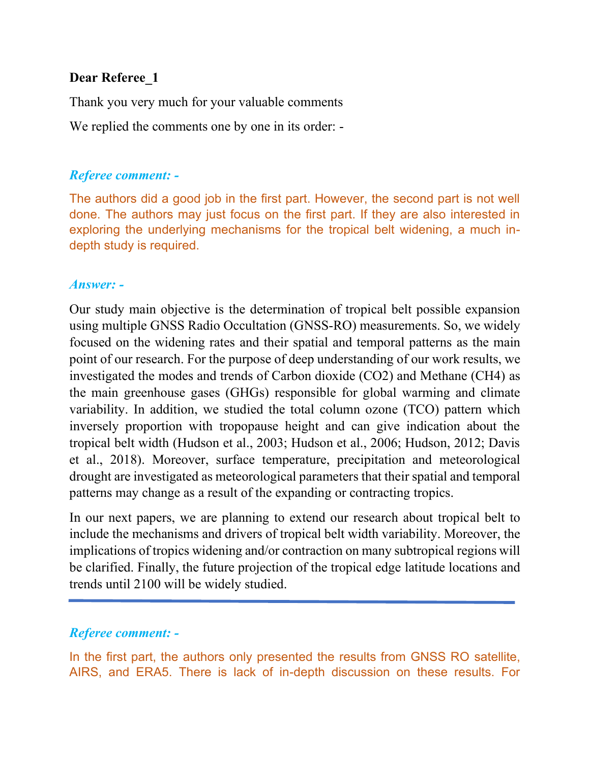## **Dear Referee\_1**

Thank you very much for your valuable comments

We replied the comments one by one in its order: -

### *Referee comment: -*

The authors did a good job in the first part. However, the second part is not well done. The authors may just focus on the first part. If they are also interested in exploring the underlying mechanisms for the tropical belt widening, a much indepth study is required.

### *Answer: -*

Our study main objective is the determination of tropical belt possible expansion using multiple GNSS Radio Occultation (GNSS-RO) measurements. So, we widely focused on the widening rates and their spatial and temporal patterns as the main point of our research. For the purpose of deep understanding of our work results, we investigated the modes and trends of Carbon dioxide (CO2) and Methane (CH4) as the main greenhouse gases (GHGs) responsible for global warming and climate variability. In addition, we studied the total column ozone (TCO) pattern which inversely proportion with tropopause height and can give indication about the tropical belt width (Hudson et al., 2003; Hudson et al., 2006; Hudson, 2012; Davis et al., 2018). Moreover, surface temperature, precipitation and meteorological drought are investigated as meteorological parameters that their spatial and temporal patterns may change as a result of the expanding or contracting tropics.

In our next papers, we are planning to extend our research about tropical belt to include the mechanisms and drivers of tropical belt width variability. Moreover, the implications of tropics widening and/or contraction on many subtropical regions will be clarified. Finally, the future projection of the tropical edge latitude locations and trends until 2100 will be widely studied.

## *Referee comment: -*

In the first part, the authors only presented the results from GNSS RO satellite, AIRS, and ERA5. There is lack of in-depth discussion on these results. For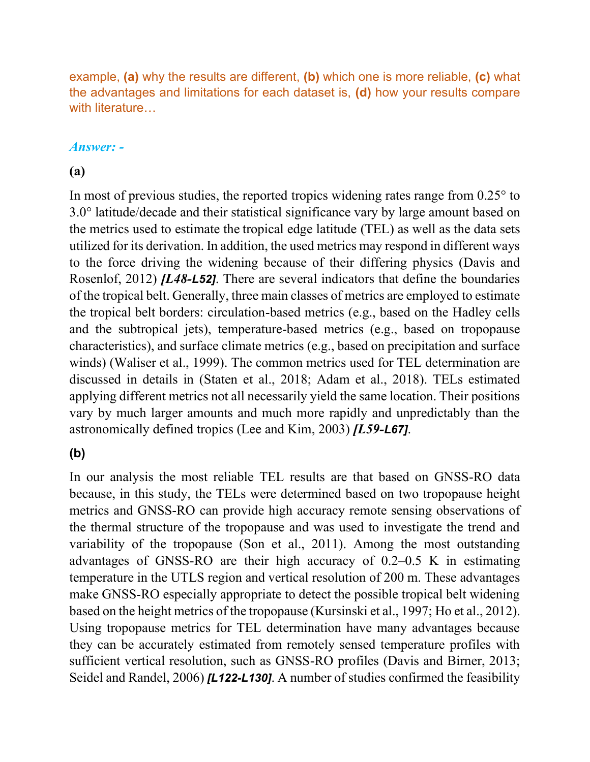example, **(a)** why the results are different, **(b)** which one is more reliable, **(c)** what the advantages and limitations for each dataset is, **(d)** how your results compare with literature...

## *Answer: -*

## **(a)**

In most of previous studies, the reported tropics widening rates range from 0.25° to 3.0° latitude/decade and their statistical significance vary by large amount based on the metrics used to estimate the tropical edge latitude (TEL) as well as the data sets utilized for its derivation. In addition, the used metrics may respond in different ways to the force driving the widening because of their differing physics (Davis and Rosenlof, 2012) *[L48-L52]*. There are several indicators that define the boundaries of the tropical belt. Generally, three main classes of metrics are employed to estimate the tropical belt borders: circulation-based metrics (e.g., based on the Hadley cells and the subtropical jets), temperature-based metrics (e.g., based on tropopause characteristics), and surface climate metrics (e.g., based on precipitation and surface winds) (Waliser et al., 1999). The common metrics used for TEL determination are discussed in details in (Staten et al., 2018; Adam et al., 2018). TELs estimated applying different metrics not all necessarily yield the same location. Their positions vary by much larger amounts and much more rapidly and unpredictably than the astronomically defined tropics (Lee and Kim, 2003) *[L59-L67]*.

## **(b)**

In our analysis the most reliable TEL results are that based on GNSS-RO data because, in this study, the TELs were determined based on two tropopause height metrics and GNSS-RO can provide high accuracy remote sensing observations of the thermal structure of the tropopause and was used to investigate the trend and variability of the tropopause (Son et al., 2011). Among the most outstanding advantages of GNSS-RO are their high accuracy of 0.2–0.5 K in estimating temperature in the UTLS region and vertical resolution of 200 m. These advantages make GNSS-RO especially appropriate to detect the possible tropical belt widening based on the height metrics of the tropopause (Kursinski et al., 1997; Ho et al., 2012). Using tropopause metrics for TEL determination have many advantages because they can be accurately estimated from remotely sensed temperature profiles with sufficient vertical resolution, such as GNSS-RO profiles (Davis and Birner, 2013; Seidel and Randel, 2006) *[L122-L130]*. A number of studies confirmed the feasibility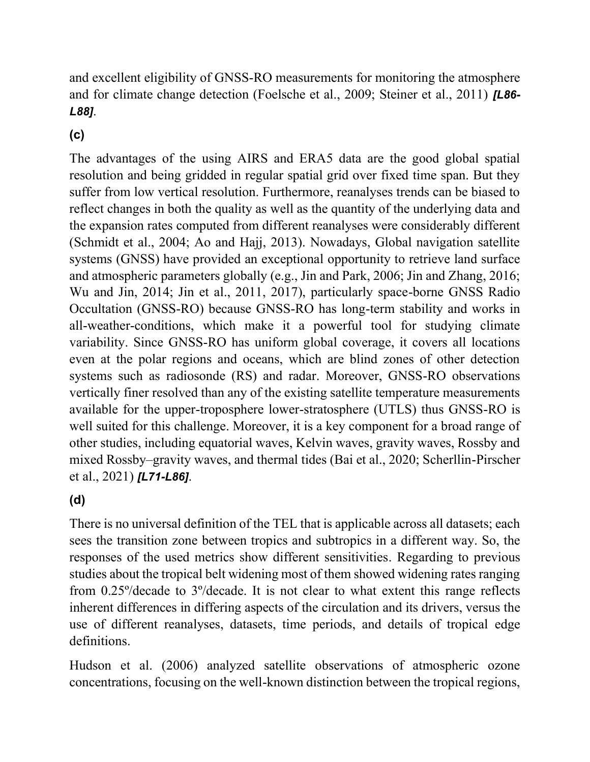and excellent eligibility of GNSS-RO measurements for monitoring the atmosphere and for climate change detection (Foelsche et al., 2009; Steiner et al., 2011) *[L86- L88]*.

## **(c)**

The advantages of the using AIRS and ERA5 data are the good global spatial resolution and being gridded in regular spatial grid over fixed time span. But they suffer from low vertical resolution. Furthermore, reanalyses trends can be biased to reflect changes in both the quality as well as the quantity of the underlying data and the expansion rates computed from different reanalyses were considerably different (Schmidt et al., 2004; Ao and Hajj, 2013). Nowadays, Global navigation satellite systems (GNSS) have provided an exceptional opportunity to retrieve land surface and atmospheric parameters globally (e.g., Jin and Park, 2006; Jin and Zhang, 2016; Wu and Jin, 2014; Jin et al., 2011, 2017), particularly space-borne GNSS Radio Occultation (GNSS-RO) because GNSS-RO has long-term stability and works in all-weather-conditions, which make it a powerful tool for studying climate variability. Since GNSS-RO has uniform global coverage, it covers all locations even at the polar regions and oceans, which are blind zones of other detection systems such as radiosonde (RS) and radar. Moreover, GNSS-RO observations vertically finer resolved than any of the existing satellite temperature measurements available for the upper-troposphere lower-stratosphere (UTLS) thus GNSS-RO is well suited for this challenge. Moreover, it is a key component for a broad range of other studies, including equatorial waves, Kelvin waves, gravity waves, Rossby and mixed Rossby–gravity waves, and thermal tides (Bai et al., 2020; Scherllin-Pirscher et al., 2021) *[L71-L86]*.

## **(d)**

There is no universal definition of the TEL that is applicable across all datasets; each sees the transition zone between tropics and subtropics in a different way. So, the responses of the used metrics show different sensitivities. Regarding to previous studies about the tropical belt widening most of them showed widening rates ranging from 0.25º/decade to 3º/decade. It is not clear to what extent this range reflects inherent differences in differing aspects of the circulation and its drivers, versus the use of different reanalyses, datasets, time periods, and details of tropical edge definitions.

Hudson et al. (2006) analyzed satellite observations of atmospheric ozone concentrations, focusing on the well-known distinction between the tropical regions,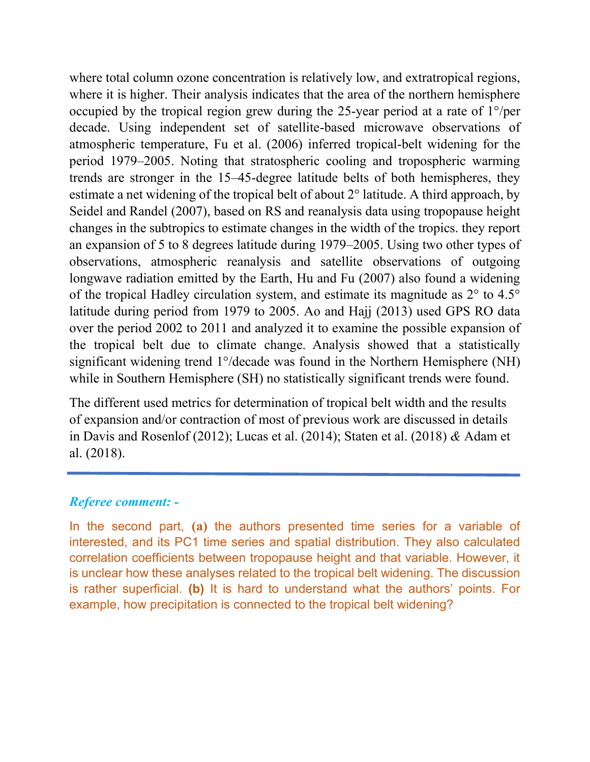where total column ozone concentration is relatively low, and extratropical regions, where it is higher. Their analysis indicates that the area of the northern hemisphere occupied by the tropical region grew during the 25-year period at a rate of 1°/per decade. Using independent set of satellite-based microwave observations of atmospheric temperature, Fu et al. (2006) inferred tropical-belt widening for the period 1979–2005. Noting that stratospheric cooling and tropospheric warming trends are stronger in the 15–45-degree latitude belts of both hemispheres, they estimate a net widening of the tropical belt of about 2° latitude. A third approach, by Seidel and Randel (2007), based on RS and reanalysis data using tropopause height changes in the subtropics to estimate changes in the width of the tropics. they report an expansion of 5 to 8 degrees latitude during 1979–2005. Using two other types of observations, atmospheric reanalysis and satellite observations of outgoing longwave radiation emitted by the Earth, Hu and Fu (2007) also found a widening of the tropical Hadley circulation system, and estimate its magnitude as 2° to 4.5° latitude during period from 1979 to 2005. Ao and Hajj (2013) used GPS RO data over the period 2002 to 2011 and analyzed it to examine the possible expansion of the tropical belt due to climate change. Analysis showed that a statistically significant widening trend 1°/decade was found in the Northern Hemisphere (NH) while in Southern Hemisphere (SH) no statistically significant trends were found.

The different used metrics for determination of tropical belt width and the results of expansion and/or contraction of most of previous work are discussed in details in Davis and Rosenlof (2012); Lucas et al. (2014); Staten et al. (2018) *&* Adam et al. (2018).

## *Referee comment: -*

In the second part, **(a)** the authors presented time series for a variable of interested, and its PC1 time series and spatial distribution. They also calculated correlation coefficients between tropopause height and that variable. However, it is unclear how these analyses related to the tropical belt widening. The discussion is rather superficial. **(b)** It is hard to understand what the authors' points. For example, how precipitation is connected to the tropical belt widening?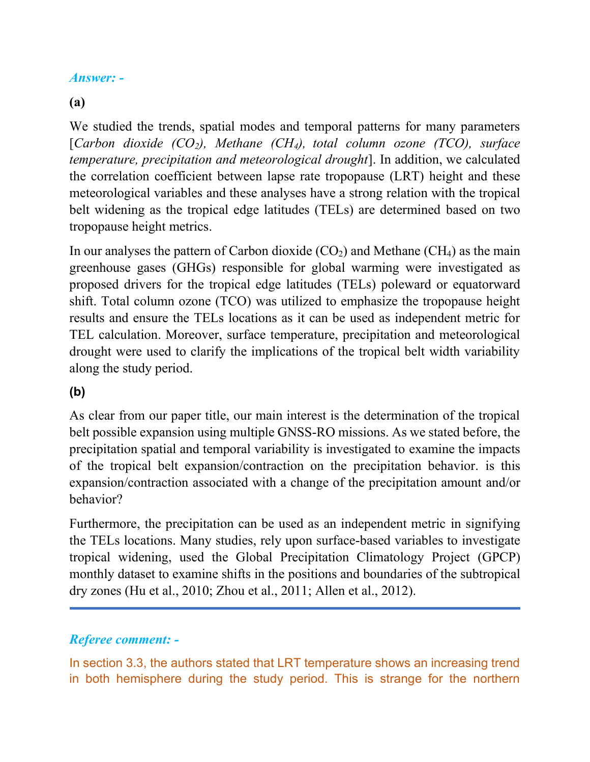## *Answer: -*

## **(a)**

We studied the trends, spatial modes and temporal patterns for many parameters [*Carbon dioxide (CO2), Methane (CH4), total column ozone (TCO), surface temperature, precipitation and meteorological drought*]. In addition, we calculated the correlation coefficient between lapse rate tropopause (LRT) height and these meteorological variables and these analyses have a strong relation with the tropical belt widening as the tropical edge latitudes (TELs) are determined based on two tropopause height metrics.

In our analyses the pattern of Carbon dioxide  $(CO_2)$  and Methane  $(CH_4)$  as the main greenhouse gases (GHGs) responsible for global warming were investigated as proposed drivers for the tropical edge latitudes (TELs) poleward or equatorward shift. Total column ozone (TCO) was utilized to emphasize the tropopause height results and ensure the TELs locations as it can be used as independent metric for TEL calculation. Moreover, surface temperature, precipitation and meteorological drought were used to clarify the implications of the tropical belt width variability along the study period.

## **(b)**

As clear from our paper title, our main interest is the determination of the tropical belt possible expansion using multiple GNSS-RO missions. As we stated before, the precipitation spatial and temporal variability is investigated to examine the impacts of the tropical belt expansion/contraction on the precipitation behavior. is this expansion/contraction associated with a change of the precipitation amount and/or behavior?

Furthermore, the precipitation can be used as an independent metric in signifying the TELs locations. Many studies, rely upon surface-based variables to investigate tropical widening, used the Global Precipitation Climatology Project (GPCP) monthly dataset to examine shifts in the positions and boundaries of the subtropical dry zones (Hu et al., 2010; Zhou et al., 2011; Allen et al., 2012).

## *Referee comment: -*

In section 3.3, the authors stated that LRT temperature shows an increasing trend in both hemisphere during the study period. This is strange for the northern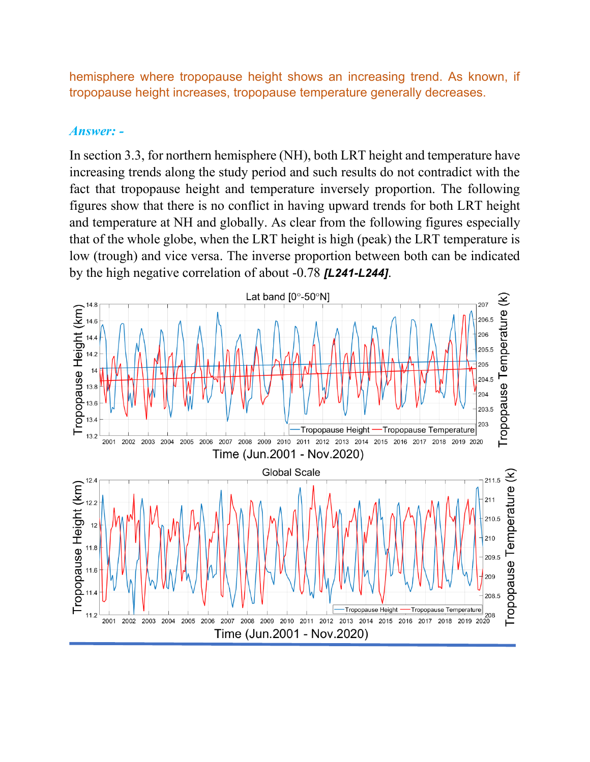hemisphere where tropopause height shows an increasing trend. As known, if tropopause height increases, tropopause temperature generally decreases.

#### *Answer: -*

In section 3.3, for northern hemisphere (NH), both LRT height and temperature have increasing trends along the study period and such results do not contradict with the fact that tropopause height and temperature inversely proportion. The following figures show that there is no conflict in having upward trends for both LRT height and temperature at NH and globally. As clear from the following figures especially that of the whole globe, when the LRT height is high (peak) the LRT temperature is low (trough) and vice versa. The inverse proportion between both can be indicated by the high negative correlation of about -0.78 *[L241-L244]*.

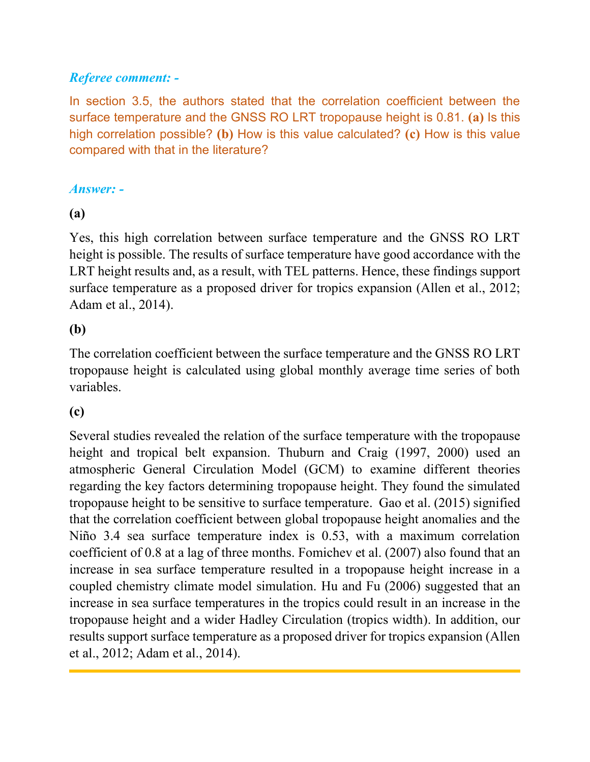## *Referee comment: -*

In section 3.5, the authors stated that the correlation coefficient between the surface temperature and the GNSS RO LRT tropopause height is 0.81. **(a)** Is this high correlation possible? **(b)** How is this value calculated? **(c)** How is this value compared with that in the literature?

## *Answer: -*

## **(a)**

Yes, this high correlation between surface temperature and the GNSS RO LRT height is possible. The results of surface temperature have good accordance with the LRT height results and, as a result, with TEL patterns. Hence, these findings support surface temperature as a proposed driver for tropics expansion (Allen et al., 2012; Adam et al., 2014).

## **(b)**

The correlation coefficient between the surface temperature and the GNSS RO LRT tropopause height is calculated using global monthly average time series of both variables.

## **(c)**

Several studies revealed the relation of the surface temperature with the tropopause height and tropical belt expansion. Thuburn and Craig (1997, 2000) used an atmospheric General Circulation Model (GCM) to examine different theories regarding the key factors determining tropopause height. They found the simulated tropopause height to be sensitive to surface temperature. Gao et al. (2015) signified that the correlation coefficient between global tropopause height anomalies and the Niño 3.4 sea surface temperature index is 0.53, with a maximum correlation coefficient of 0.8 at a lag of three months. Fomichev et al. (2007) also found that an increase in sea surface temperature resulted in a tropopause height increase in a coupled chemistry climate model simulation. Hu and Fu (2006) suggested that an increase in sea surface temperatures in the tropics could result in an increase in the tropopause height and a wider Hadley Circulation (tropics width). In addition, our results support surface temperature as a proposed driver for tropics expansion (Allen et al., 2012; Adam et al., 2014).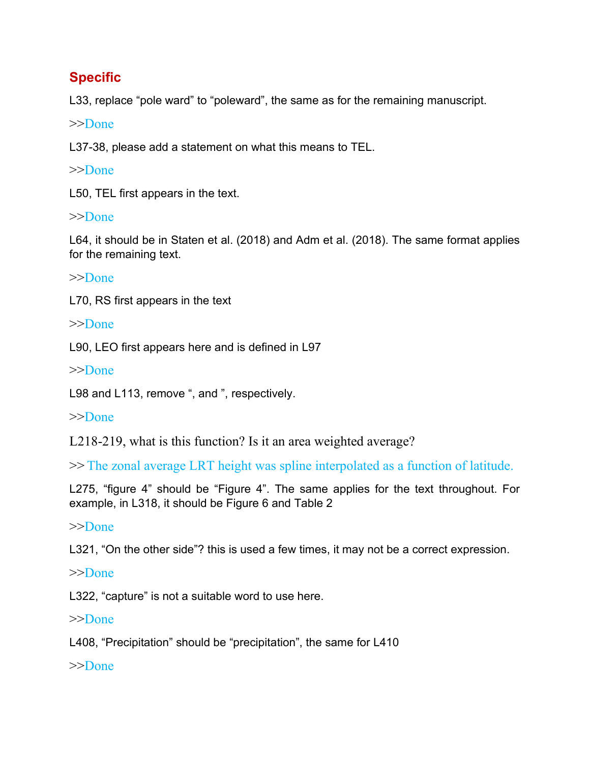# **Specific**

L33, replace "pole ward" to "poleward", the same as for the remaining manuscript.

>>Done

L37-38, please add a statement on what this means to TEL.

>>Done

L50, TEL first appears in the text.

## >>Done

L64, it should be in Staten et al. (2018) and Adm et al. (2018). The same format applies for the remaining text.

>>Done

L70, RS first appears in the text

>>Done

L90, LEO first appears here and is defined in L97

>>Done

L98 and L113, remove ", and ", respectively.

>>Done

L218-219, what is this function? Is it an area weighted average?

>> The zonal average LRT height was spline interpolated as a function of latitude.

L275, "figure 4" should be "Figure 4". The same applies for the text throughout. For example, in L318, it should be Figure 6 and Table 2

## >>Done

L321, "On the other side"? this is used a few times, it may not be a correct expression.

## >>Done

L322, "capture" is not a suitable word to use here.

## >>Done

L408, "Precipitation" should be "precipitation", the same for L410

>>Done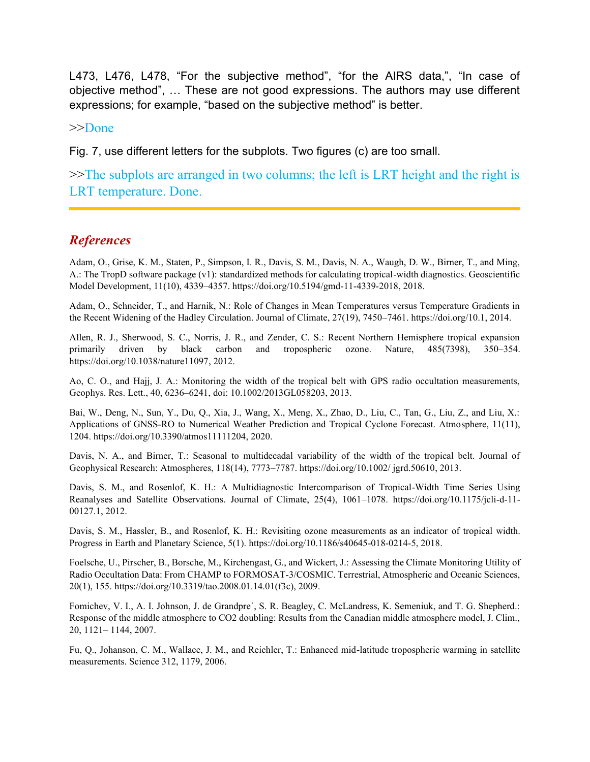L473, L476, L478, "For the subjective method", "for the AIRS data,", "In case of objective method", … These are not good expressions. The authors may use different expressions; for example, "based on the subjective method" is better.

#### >>Done

Fig. 7, use different letters for the subplots. Two figures (c) are too small.

>>The subplots are arranged in two columns; the left is LRT height and the right is LRT temperature. Done.

#### *References*

Adam, O., Grise, K. M., Staten, P., Simpson, I. R., Davis, S. M., Davis, N. A., Waugh, D. W., Birner, T., and Ming, A.: The TropD software package (v1): standardized methods for calculating tropical-width diagnostics. Geoscientific Model Development, 11(10), 4339–4357. [https://doi.org/10.5194/gmd-11-4339-2018,](https://doi.org/10.5194/gmd-11-4339-2018) 2018.

Adam, O., Schneider, T., and Harnik, N.: Role of Changes in Mean Temperatures versus Temperature Gradients in the Recent Widening of the Hadley Circulation. Journal of Climate, 27(19), 7450–7461. https://doi.org/10.1, 2014.

Allen, R. J., Sherwood, S. C., Norris, J. R., and Zender, C. S.: Recent Northern Hemisphere tropical expansion primarily driven by black carbon and tropospheric ozone. Nature, 485(7398), 350–354. [https://doi.org/10.1038/nature11097,](https://doi.org/10.1038/nature11097) 2012.

Ao, C. O., and Hajj, J. A.: Monitoring the width of the tropical belt with GPS radio occultation measurements, Geophys. Res. Lett., 40, 6236–6241, doi: 10.1002/2013GL058203, 2013.

Bai, W., Deng, N., Sun, Y., Du, Q., Xia, J., Wang, X., Meng, X., Zhao, D., Liu, C., Tan, G., Liu, Z., and Liu, X.: Applications of GNSS-RO to Numerical Weather Prediction and Tropical Cyclone Forecast. Atmosphere, 11(11), 1204. [https://doi.org/10.3390/atmos11111204,](https://doi.org/10.3390/atmos11111204) 2020.

Davis, N. A., and Birner, T.: Seasonal to multidecadal variability of the width of the tropical belt. Journal of Geophysical Research: Atmospheres, 118(14), 7773–7787. [https://doi.org/10.1002/ jgrd.50610,](https://doi.org/10.1002/%20jgrd.50610) 2013.

Davis, S. M., and Rosenlof, K. H.: A Multidiagnostic Intercomparison of Tropical-Width Time Series Using Reanalyses and Satellite Observations. Journal of Climate, 25(4), 1061–1078. [https://doi.org/10.1175/jcli-d-11-](https://doi.org/10.1175/jcli-d-11-00127.1) [00127.1,](https://doi.org/10.1175/jcli-d-11-00127.1) 2012.

Davis, S. M., Hassler, B., and Rosenlof, K. H.: Revisiting ozone measurements as an indicator of tropical width. Progress in Earth and Planetary Science, 5(1). [https://doi.org/10.1186/s40645-018-0214-5,](https://doi.org/10.1186/s40645-018-0214-5) 2018.

Foelsche, U., Pirscher, B., Borsche, M., Kirchengast, G., and Wickert, J.: Assessing the Climate Monitoring Utility of Radio Occultation Data: From CHAMP to FORMOSAT-3/COSMIC. Terrestrial, Atmospheric and Oceanic Sciences, 20(1), 155[. https://doi.org/10.3319/tao.2008.01.14.01\(f3c\),](https://doi.org/10.3319/tao.2008.01.14.01(f3c)) 2009.

Fomichev, V. I., A. I. Johnson, J. de Grandpre´, S. R. Beagley, C. McLandress, K. Semeniuk, and T. G. Shepherd.: Response of the middle atmosphere to CO2 doubling: Results from the Canadian middle atmosphere model, J. Clim., 20, 1121– 1144, 2007.

Fu, Q., Johanson, C. M., Wallace, J. M., and Reichler, T.: Enhanced mid-latitude tropospheric warming in satellite measurements. Science 312, 1179, 2006.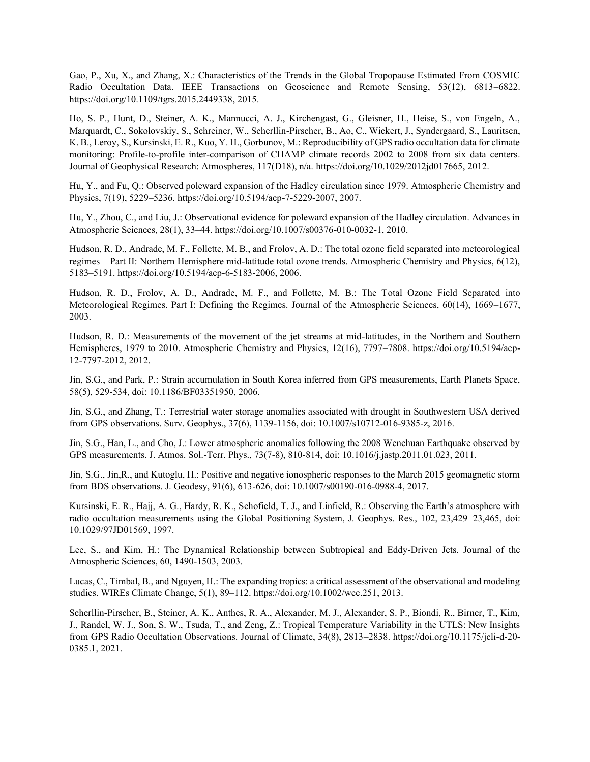Gao, P., Xu, X., and Zhang, X.: Characteristics of the Trends in the Global Tropopause Estimated From COSMIC Radio Occultation Data. IEEE Transactions on Geoscience and Remote Sensing, 53(12), 6813–6822. [https://doi.org/10.1109/tgrs.2015.2449338,](https://doi.org/10.1109/tgrs.2015.2449338) 2015.

Ho, S. P., Hunt, D., Steiner, A. K., Mannucci, A. J., Kirchengast, G., Gleisner, H., Heise, S., von Engeln, A., Marquardt, C., Sokolovskiy, S., Schreiner, W., Scherllin-Pirscher, B., Ao, C., Wickert, J., Syndergaard, S., Lauritsen, K. B., Leroy, S., Kursinski, E. R., Kuo, Y. H., Gorbunov, M.: Reproducibility of GPS radio occultation data for climate monitoring: Profile-to-profile inter-comparison of CHAMP climate records 2002 to 2008 from six data centers. Journal of Geophysical Research: Atmospheres, 117(D18), n/a. [https://doi.org/10.1029/2012jd017665,](https://doi.org/10.1029/2012jd017665) 2012.

Hu, Y., and Fu, Q.: Observed poleward expansion of the Hadley circulation since 1979. Atmospheric Chemistry and Physics, 7(19), 5229–5236. https://doi.org/10.5194/acp-7-5229-2007, 2007.

Hu, Y., Zhou, C., and Liu, J.: Observational evidence for poleward expansion of the Hadley circulation. Advances in Atmospheric Sciences, 28(1), 33–44. [https://doi.org/10.1007/s00376-010-0032-1,](https://doi.org/10.1007/s00376-010-0032-1) 2010.

Hudson, R. D., Andrade, M. F., Follette, M. B., and Frolov, A. D.: The total ozone field separated into meteorological regimes – Part II: Northern Hemisphere mid-latitude total ozone trends. Atmospheric Chemistry and Physics, 6(12), 5183–5191. [https://doi.org/10.5194/acp-6-5183-2006,](https://doi.org/10.5194/acp-6-5183-2006) 2006.

Hudson, R. D., Frolov, A. D., Andrade, M. F., and Follette, M. B.: The Total Ozone Field Separated into Meteorological Regimes. Part I: Defining the Regimes. Journal of the Atmospheric Sciences, 60(14), 1669–1677, 2003.

Hudson, R. D.: Measurements of the movement of the jet streams at mid-latitudes, in the Northern and Southern Hemispheres, 1979 to 2010. Atmospheric Chemistry and Physics, 12(16), 7797–7808. [https://doi.org/10.5194/acp-](https://doi.org/10.5194/acp-12-7797-2012)[12-7797-2012,](https://doi.org/10.5194/acp-12-7797-2012) 2012.

Jin, S.G., and Park, P.: Strain accumulation in South Korea inferred from GPS measurements, Earth Planets Space, 58(5), 529-534, doi: 10.1186/BF03351950, 2006.

Jin, S.G., and Zhang, T.: Terrestrial water storage anomalies associated with drought in Southwestern USA derived from GPS observations. Surv. Geophys., 37(6), 1139-1156, doi: 10.1007/s10712-016-9385-z, 2016.

Jin, S.G., Han, L., and Cho, J.: Lower atmospheric anomalies following the 2008 Wenchuan Earthquake observed by GPS measurements. J. Atmos. Sol.-Terr. Phys., 73(7-8), 810-814, doi: 10.1016/j.jastp.2011.01.023, 2011.

Jin, S.G., Jin,R., and Kutoglu, H.: Positive and negative ionospheric responses to the March 2015 geomagnetic storm from BDS observations. J. Geodesy, 91(6), 613-626, doi: 10.1007/s00190-016-0988-4, 2017.

Kursinski, E. R., Hajj, A. G., Hardy, R. K., Schofield, T. J., and Linfield, R.: Observing the Earth's atmosphere with radio occultation measurements using the Global Positioning System, J. Geophys. Res., 102, 23,429–23,465, doi: 10.1029/97JD01569, 1997.

Lee, S., and Kim, H.: The Dynamical Relationship between Subtropical and Eddy-Driven Jets. Journal of the Atmospheric Sciences, 60, 1490-1503, 2003.

Lucas, C., Timbal, B., and Nguyen, H.: The expanding tropics: a critical assessment of the observational and modeling studies. WIREs Climate Change, 5(1), 89–112. [https://doi.org/10.1002/wcc.251,](https://doi.org/10.1002/wcc.251) 2013.

Scherllin-Pirscher, B., Steiner, A. K., Anthes, R. A., Alexander, M. J., Alexander, S. P., Biondi, R., Birner, T., Kim, J., Randel, W. J., Son, S. W., Tsuda, T., and Zeng, Z.: Tropical Temperature Variability in the UTLS: New Insights from GPS Radio Occultation Observations. Journal of Climate, 34(8), 2813–2838. [https://doi.org/10.1175/jcli-d-20-](https://doi.org/10.1175/jcli-d-20-0385.1) [0385.1,](https://doi.org/10.1175/jcli-d-20-0385.1) 2021.